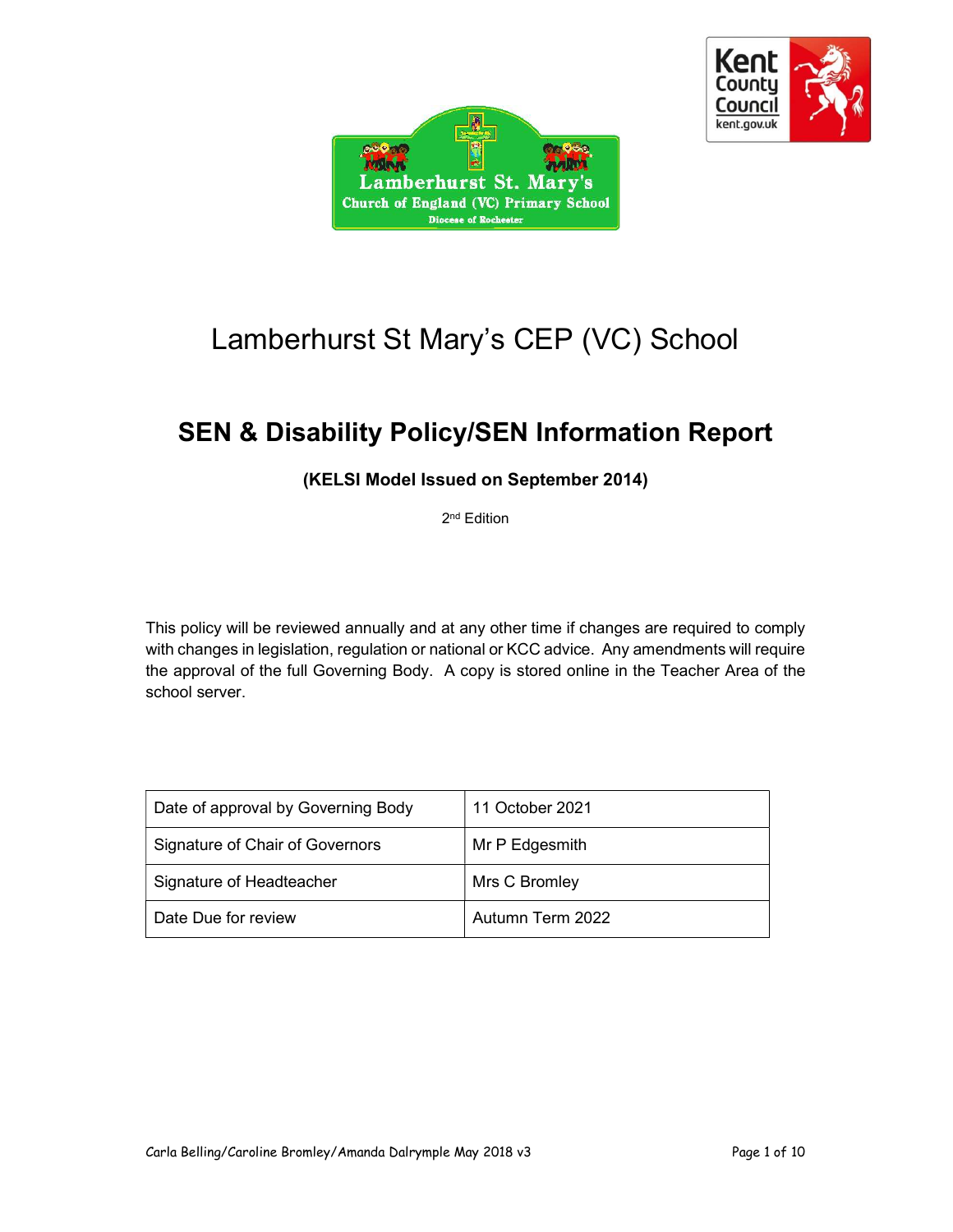



# Lamberhurst St Mary's CEP (VC) School

## SEN & Disability Policy/SEN Information Report

### (KELSI Model Issued on September 2014)

2<sup>nd</sup> Edition

This policy will be reviewed annually and at any other time if changes are required to comply with changes in legislation, regulation or national or KCC advice. Any amendments will require the approval of the full Governing Body. A copy is stored online in the Teacher Area of the school server.

| Date of approval by Governing Body | 11 October 2021  |
|------------------------------------|------------------|
| Signature of Chair of Governors    | Mr P Edgesmith   |
| Signature of Headteacher           | Mrs C Bromley    |
| Date Due for review                | Autumn Term 2022 |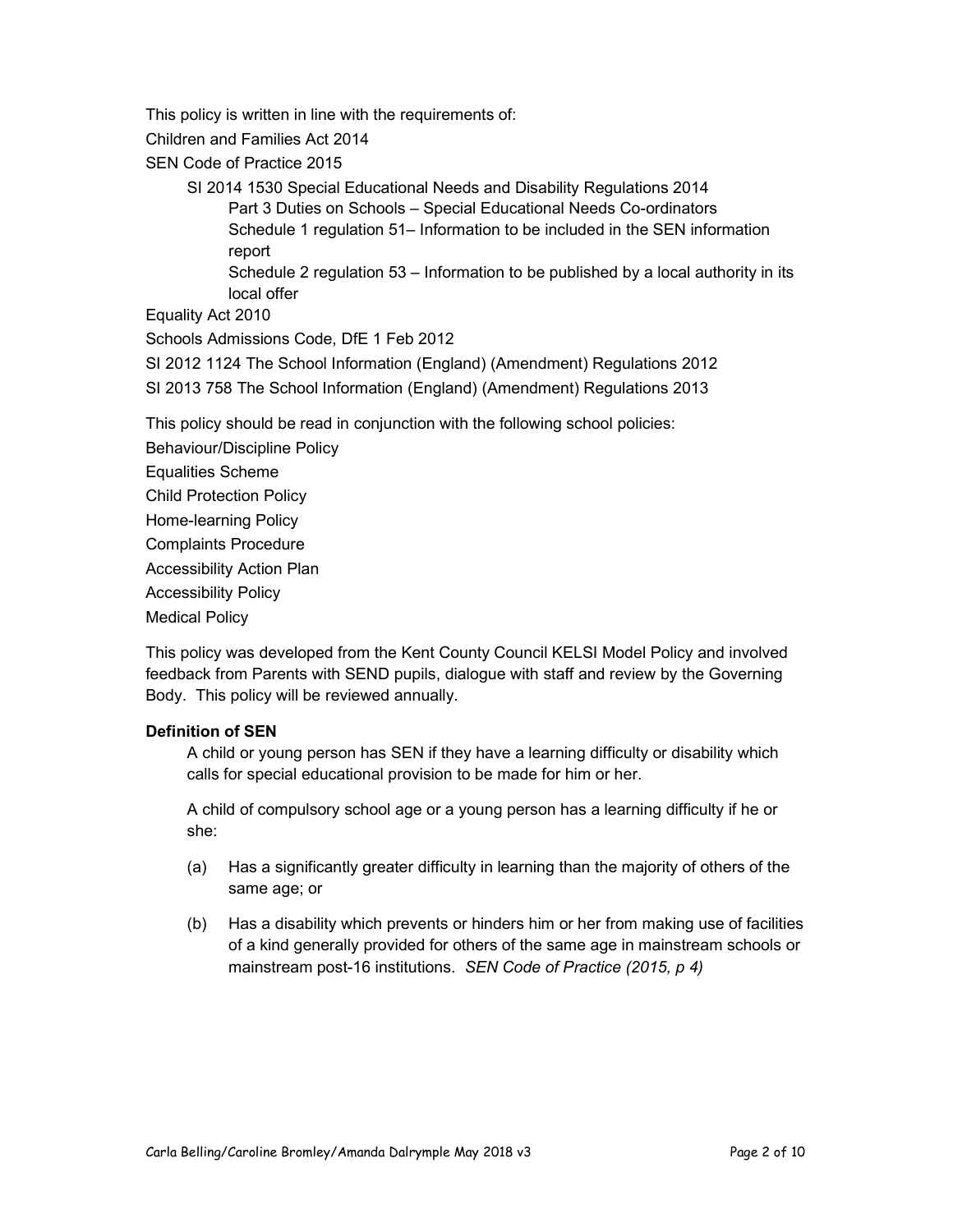This policy is written in line with the requirements of:

Children and Families Act 2014

SEN Code of Practice 2015

SI 2014 1530 Special Educational Needs and Disability Regulations 2014 Part 3 Duties on Schools – Special Educational Needs Co-ordinators Schedule 1 regulation 51– Information to be included in the SEN information report

Schedule 2 regulation 53 – Information to be published by a local authority in its local offer

Equality Act 2010

Schools Admissions Code, DfE 1 Feb 2012

SI 2012 1124 The School Information (England) (Amendment) Regulations 2012

SI 2013 758 The School Information (England) (Amendment) Regulations 2013

This policy should be read in conjunction with the following school policies:

Behaviour/Discipline Policy Equalities Scheme Child Protection Policy Home-learning Policy Complaints Procedure Accessibility Action Plan Accessibility Policy Medical Policy

This policy was developed from the Kent County Council KELSI Model Policy and involved feedback from Parents with SEND pupils, dialogue with staff and review by the Governing Body. This policy will be reviewed annually.

#### Definition of SEN

A child or young person has SEN if they have a learning difficulty or disability which calls for special educational provision to be made for him or her.

A child of compulsory school age or a young person has a learning difficulty if he or she:

- (a) Has a significantly greater difficulty in learning than the majority of others of the same age; or
- (b) Has a disability which prevents or hinders him or her from making use of facilities of a kind generally provided for others of the same age in mainstream schools or mainstream post-16 institutions. SEN Code of Practice (2015, p 4)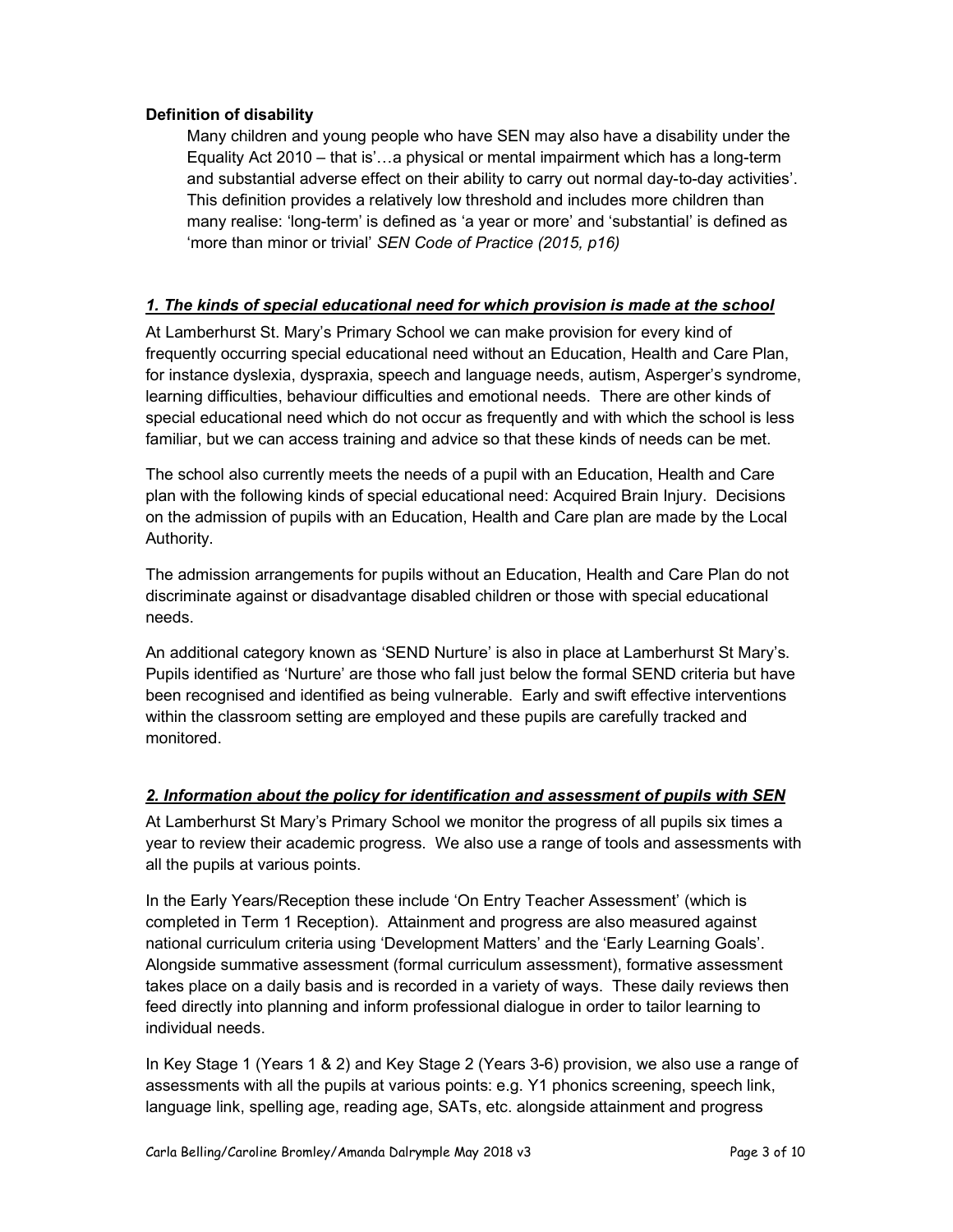#### Definition of disability

Many children and young people who have SEN may also have a disability under the Equality Act 2010 – that is'…a physical or mental impairment which has a long-term and substantial adverse effect on their ability to carry out normal day-to-day activities'. This definition provides a relatively low threshold and includes more children than many realise: 'long-term' is defined as 'a year or more' and 'substantial' is defined as 'more than minor or trivial' SEN Code of Practice (2015, p16)

#### 1. The kinds of special educational need for which provision is made at the school

At Lamberhurst St. Mary's Primary School we can make provision for every kind of frequently occurring special educational need without an Education, Health and Care Plan, for instance dyslexia, dyspraxia, speech and language needs, autism, Asperger's syndrome, learning difficulties, behaviour difficulties and emotional needs. There are other kinds of special educational need which do not occur as frequently and with which the school is less familiar, but we can access training and advice so that these kinds of needs can be met.

The school also currently meets the needs of a pupil with an Education, Health and Care plan with the following kinds of special educational need: Acquired Brain Injury. Decisions on the admission of pupils with an Education, Health and Care plan are made by the Local Authority.

The admission arrangements for pupils without an Education, Health and Care Plan do not discriminate against or disadvantage disabled children or those with special educational needs.

An additional category known as 'SEND Nurture' is also in place at Lamberhurst St Mary's. Pupils identified as 'Nurture' are those who fall just below the formal SEND criteria but have been recognised and identified as being vulnerable. Early and swift effective interventions within the classroom setting are employed and these pupils are carefully tracked and monitored.

#### 2. Information about the policy for identification and assessment of pupils with SEN

At Lamberhurst St Mary's Primary School we monitor the progress of all pupils six times a year to review their academic progress. We also use a range of tools and assessments with all the pupils at various points.

In the Early Years/Reception these include 'On Entry Teacher Assessment' (which is completed in Term 1 Reception). Attainment and progress are also measured against national curriculum criteria using 'Development Matters' and the 'Early Learning Goals'. Alongside summative assessment (formal curriculum assessment), formative assessment takes place on a daily basis and is recorded in a variety of ways. These daily reviews then feed directly into planning and inform professional dialogue in order to tailor learning to individual needs.

In Key Stage 1 (Years 1 & 2) and Key Stage 2 (Years 3-6) provision, we also use a range of assessments with all the pupils at various points: e.g. Y1 phonics screening, speech link, language link, spelling age, reading age, SATs, etc. alongside attainment and progress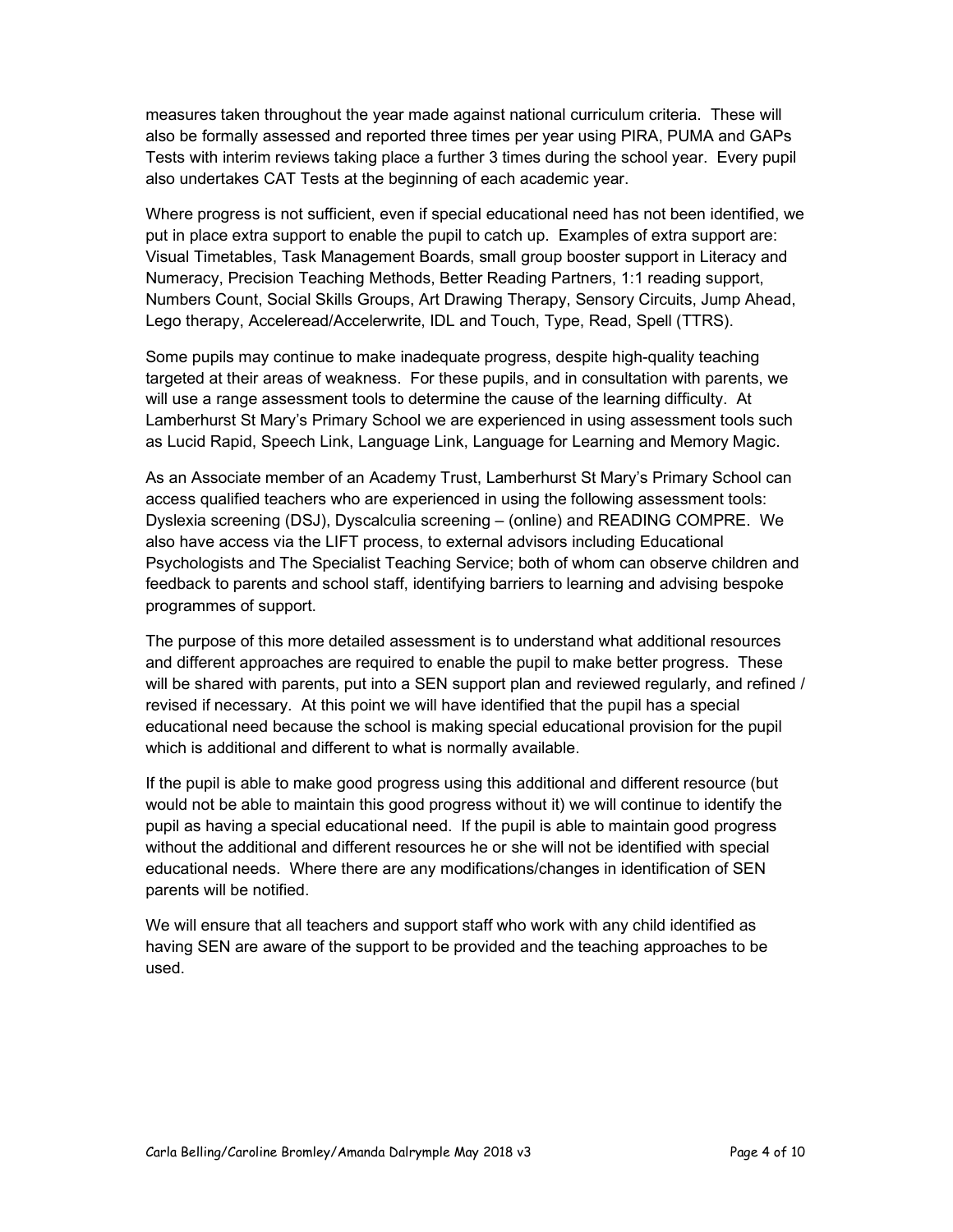measures taken throughout the year made against national curriculum criteria. These will also be formally assessed and reported three times per year using PIRA, PUMA and GAPs Tests with interim reviews taking place a further 3 times during the school year. Every pupil also undertakes CAT Tests at the beginning of each academic year.

Where progress is not sufficient, even if special educational need has not been identified, we put in place extra support to enable the pupil to catch up. Examples of extra support are: Visual Timetables, Task Management Boards, small group booster support in Literacy and Numeracy, Precision Teaching Methods, Better Reading Partners, 1:1 reading support, Numbers Count, Social Skills Groups, Art Drawing Therapy, Sensory Circuits, Jump Ahead, Lego therapy, Acceleread/Accelerwrite, IDL and Touch, Type, Read, Spell (TTRS).

Some pupils may continue to make inadequate progress, despite high-quality teaching targeted at their areas of weakness. For these pupils, and in consultation with parents, we will use a range assessment tools to determine the cause of the learning difficulty. At Lamberhurst St Mary's Primary School we are experienced in using assessment tools such as Lucid Rapid, Speech Link, Language Link, Language for Learning and Memory Magic.

As an Associate member of an Academy Trust, Lamberhurst St Mary's Primary School can access qualified teachers who are experienced in using the following assessment tools: Dyslexia screening (DSJ), Dyscalculia screening – (online) and READING COMPRE. We also have access via the LIFT process, to external advisors including Educational Psychologists and The Specialist Teaching Service; both of whom can observe children and feedback to parents and school staff, identifying barriers to learning and advising bespoke programmes of support.

The purpose of this more detailed assessment is to understand what additional resources and different approaches are required to enable the pupil to make better progress. These will be shared with parents, put into a SEN support plan and reviewed regularly, and refined / revised if necessary. At this point we will have identified that the pupil has a special educational need because the school is making special educational provision for the pupil which is additional and different to what is normally available.

If the pupil is able to make good progress using this additional and different resource (but would not be able to maintain this good progress without it) we will continue to identify the pupil as having a special educational need. If the pupil is able to maintain good progress without the additional and different resources he or she will not be identified with special educational needs. Where there are any modifications/changes in identification of SEN parents will be notified.

We will ensure that all teachers and support staff who work with any child identified as having SEN are aware of the support to be provided and the teaching approaches to be used.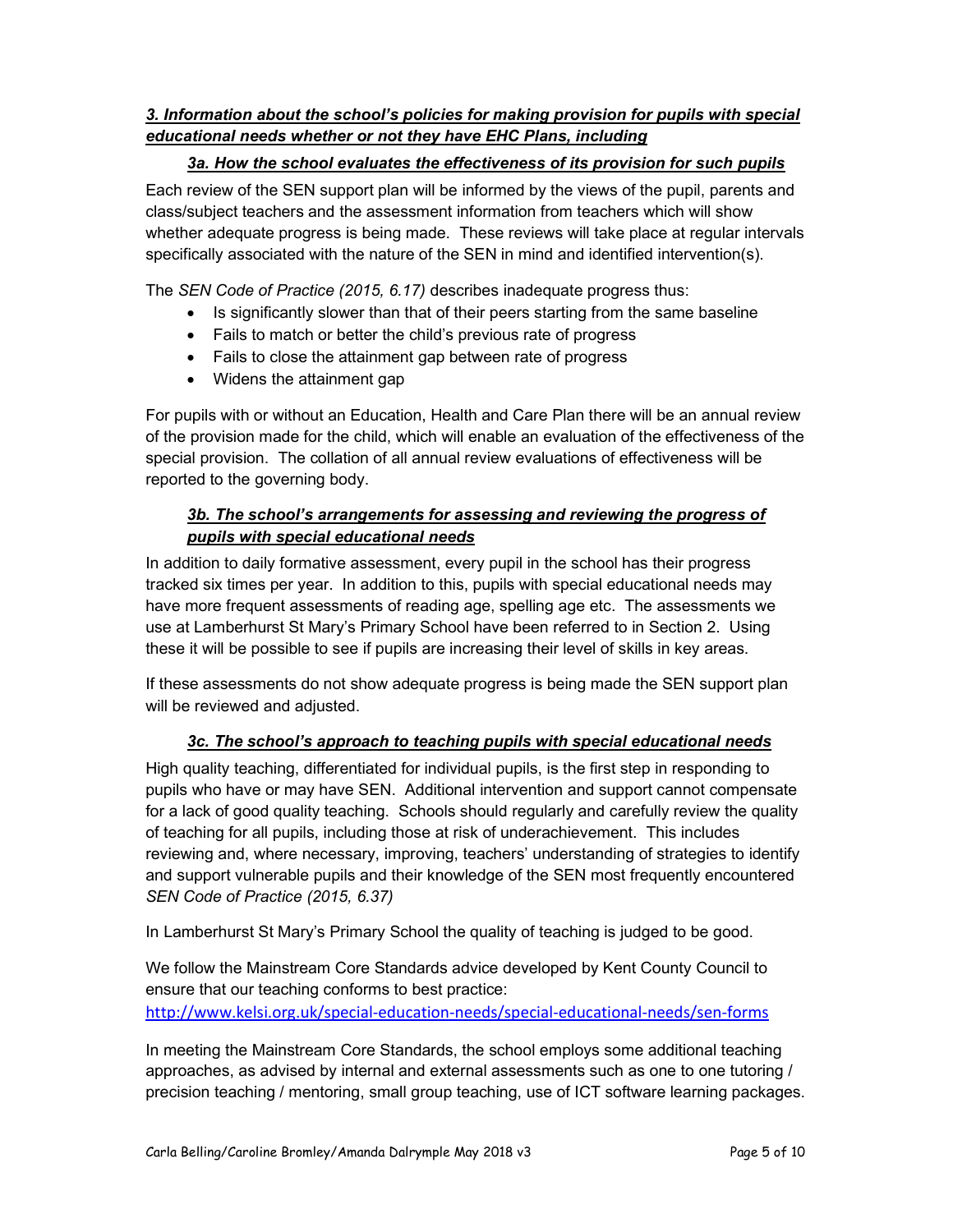#### 3. Information about the school's policies for making provision for pupils with special educational needs whether or not they have EHC Plans, including

#### 3a. How the school evaluates the effectiveness of its provision for such pupils

Each review of the SEN support plan will be informed by the views of the pupil, parents and class/subject teachers and the assessment information from teachers which will show whether adequate progress is being made. These reviews will take place at regular intervals specifically associated with the nature of the SEN in mind and identified intervention(s).

The SEN Code of Practice (2015, 6.17) describes inadequate progress thus:

- Is significantly slower than that of their peers starting from the same baseline
- Fails to match or better the child's previous rate of progress
- Fails to close the attainment gap between rate of progress
- Widens the attainment gap

For pupils with or without an Education, Health and Care Plan there will be an annual review of the provision made for the child, which will enable an evaluation of the effectiveness of the special provision. The collation of all annual review evaluations of effectiveness will be reported to the governing body.

#### 3b. The school's arrangements for assessing and reviewing the progress of pupils with special educational needs

In addition to daily formative assessment, every pupil in the school has their progress tracked six times per year. In addition to this, pupils with special educational needs may have more frequent assessments of reading age, spelling age etc. The assessments we use at Lamberhurst St Mary's Primary School have been referred to in Section 2. Using these it will be possible to see if pupils are increasing their level of skills in key areas.

If these assessments do not show adequate progress is being made the SEN support plan will be reviewed and adjusted.

#### 3c. The school's approach to teaching pupils with special educational needs

High quality teaching, differentiated for individual pupils, is the first step in responding to pupils who have or may have SEN. Additional intervention and support cannot compensate for a lack of good quality teaching. Schools should regularly and carefully review the quality of teaching for all pupils, including those at risk of underachievement. This includes reviewing and, where necessary, improving, teachers' understanding of strategies to identify and support vulnerable pupils and their knowledge of the SEN most frequently encountered SEN Code of Practice (2015, 6.37)

In Lamberhurst St Mary's Primary School the quality of teaching is judged to be good.

We follow the Mainstream Core Standards advice developed by Kent County Council to ensure that our teaching conforms to best practice: http://www.kelsi.org.uk/special-education-needs/special-educational-needs/sen-forms

In meeting the Mainstream Core Standards, the school employs some additional teaching approaches, as advised by internal and external assessments such as one to one tutoring / precision teaching / mentoring, small group teaching, use of ICT software learning packages.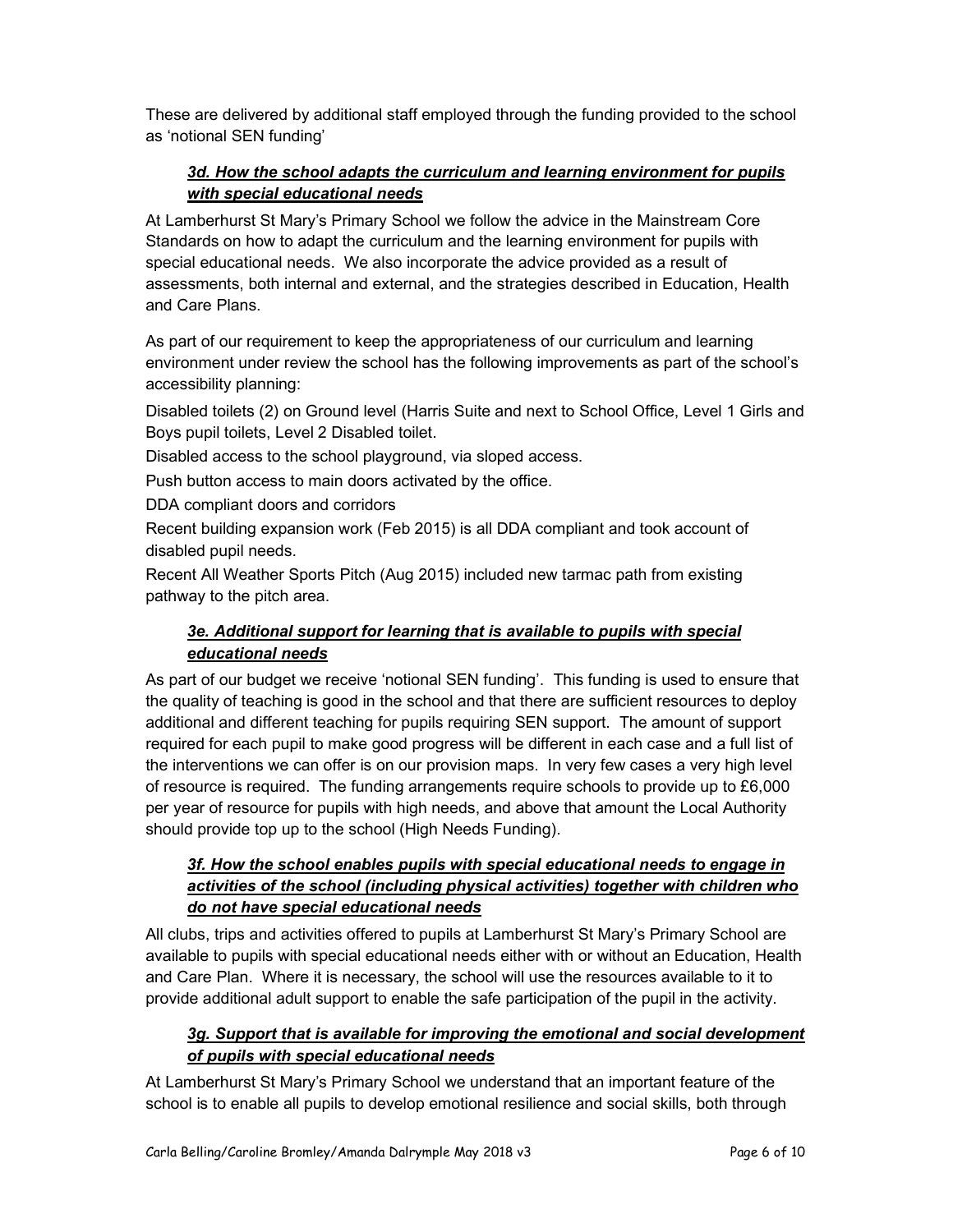These are delivered by additional staff employed through the funding provided to the school as 'notional SEN funding'

#### 3d. How the school adapts the curriculum and learning environment for pupils with special educational needs

At Lamberhurst St Mary's Primary School we follow the advice in the Mainstream Core Standards on how to adapt the curriculum and the learning environment for pupils with special educational needs. We also incorporate the advice provided as a result of assessments, both internal and external, and the strategies described in Education, Health and Care Plans.

As part of our requirement to keep the appropriateness of our curriculum and learning environment under review the school has the following improvements as part of the school's accessibility planning:

Disabled toilets (2) on Ground level (Harris Suite and next to School Office, Level 1 Girls and Boys pupil toilets, Level 2 Disabled toilet.

Disabled access to the school playground, via sloped access.

Push button access to main doors activated by the office.

DDA compliant doors and corridors

Recent building expansion work (Feb 2015) is all DDA compliant and took account of disabled pupil needs.

Recent All Weather Sports Pitch (Aug 2015) included new tarmac path from existing pathway to the pitch area.

#### 3e. Additional support for learning that is available to pupils with special educational needs

As part of our budget we receive 'notional SEN funding'. This funding is used to ensure that the quality of teaching is good in the school and that there are sufficient resources to deploy additional and different teaching for pupils requiring SEN support. The amount of support required for each pupil to make good progress will be different in each case and a full list of the interventions we can offer is on our provision maps. In very few cases a very high level of resource is required. The funding arrangements require schools to provide up to £6,000 per year of resource for pupils with high needs, and above that amount the Local Authority should provide top up to the school (High Needs Funding).

#### 3f. How the school enables pupils with special educational needs to engage in activities of the school (including physical activities) together with children who do not have special educational needs

All clubs, trips and activities offered to pupils at Lamberhurst St Mary's Primary School are available to pupils with special educational needs either with or without an Education, Health and Care Plan. Where it is necessary, the school will use the resources available to it to provide additional adult support to enable the safe participation of the pupil in the activity.

#### 3g. Support that is available for improving the emotional and social development of pupils with special educational needs

At Lamberhurst St Mary's Primary School we understand that an important feature of the school is to enable all pupils to develop emotional resilience and social skills, both through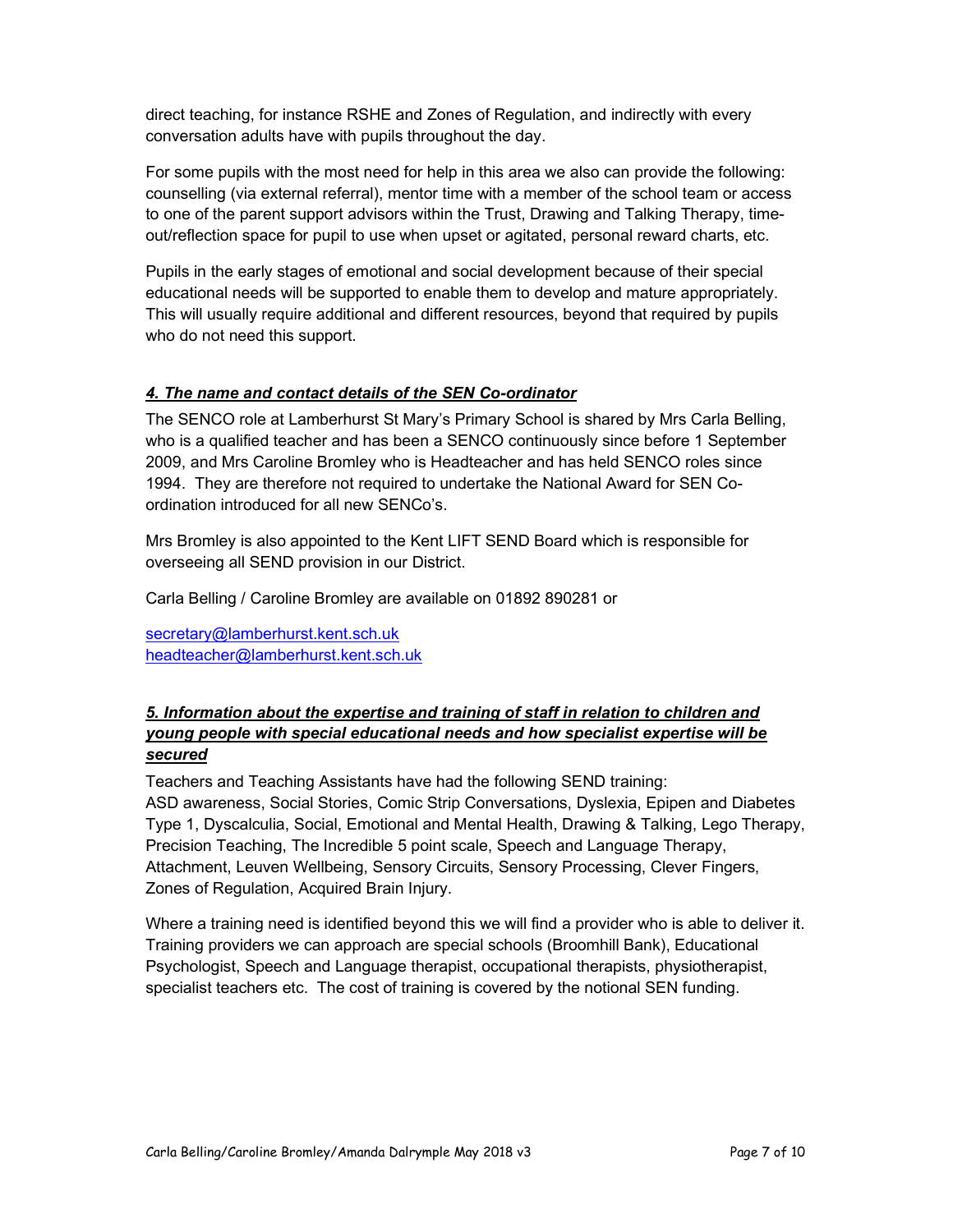direct teaching, for instance RSHE and Zones of Regulation, and indirectly with every conversation adults have with pupils throughout the day.

For some pupils with the most need for help in this area we also can provide the following: counselling (via external referral), mentor time with a member of the school team or access to one of the parent support advisors within the Trust, Drawing and Talking Therapy, timeout/reflection space for pupil to use when upset or agitated, personal reward charts, etc.

Pupils in the early stages of emotional and social development because of their special educational needs will be supported to enable them to develop and mature appropriately. This will usually require additional and different resources, beyond that required by pupils who do not need this support.

#### 4. The name and contact details of the SEN Co-ordinator

The SENCO role at Lamberhurst St Mary's Primary School is shared by Mrs Carla Belling, who is a qualified teacher and has been a SENCO continuously since before 1 September 2009, and Mrs Caroline Bromley who is Headteacher and has held SENCO roles since 1994. They are therefore not required to undertake the National Award for SEN Coordination introduced for all new SENCo's.

Mrs Bromley is also appointed to the Kent LIFT SEND Board which is responsible for overseeing all SEND provision in our District.

Carla Belling / Caroline Bromley are available on 01892 890281 or

secretary@lamberhurst.kent.sch.uk headteacher@lamberhurst.kent.sch.uk

#### 5. Information about the expertise and training of staff in relation to children and young people with special educational needs and how specialist expertise will be secured

Teachers and Teaching Assistants have had the following SEND training: ASD awareness, Social Stories, Comic Strip Conversations, Dyslexia, Epipen and Diabetes Type 1, Dyscalculia, Social, Emotional and Mental Health, Drawing & Talking, Lego Therapy, Precision Teaching, The Incredible 5 point scale, Speech and Language Therapy, Attachment, Leuven Wellbeing, Sensory Circuits, Sensory Processing, Clever Fingers, Zones of Regulation, Acquired Brain Injury.

Where a training need is identified beyond this we will find a provider who is able to deliver it. Training providers we can approach are special schools (Broomhill Bank), Educational Psychologist, Speech and Language therapist, occupational therapists, physiotherapist, specialist teachers etc. The cost of training is covered by the notional SEN funding.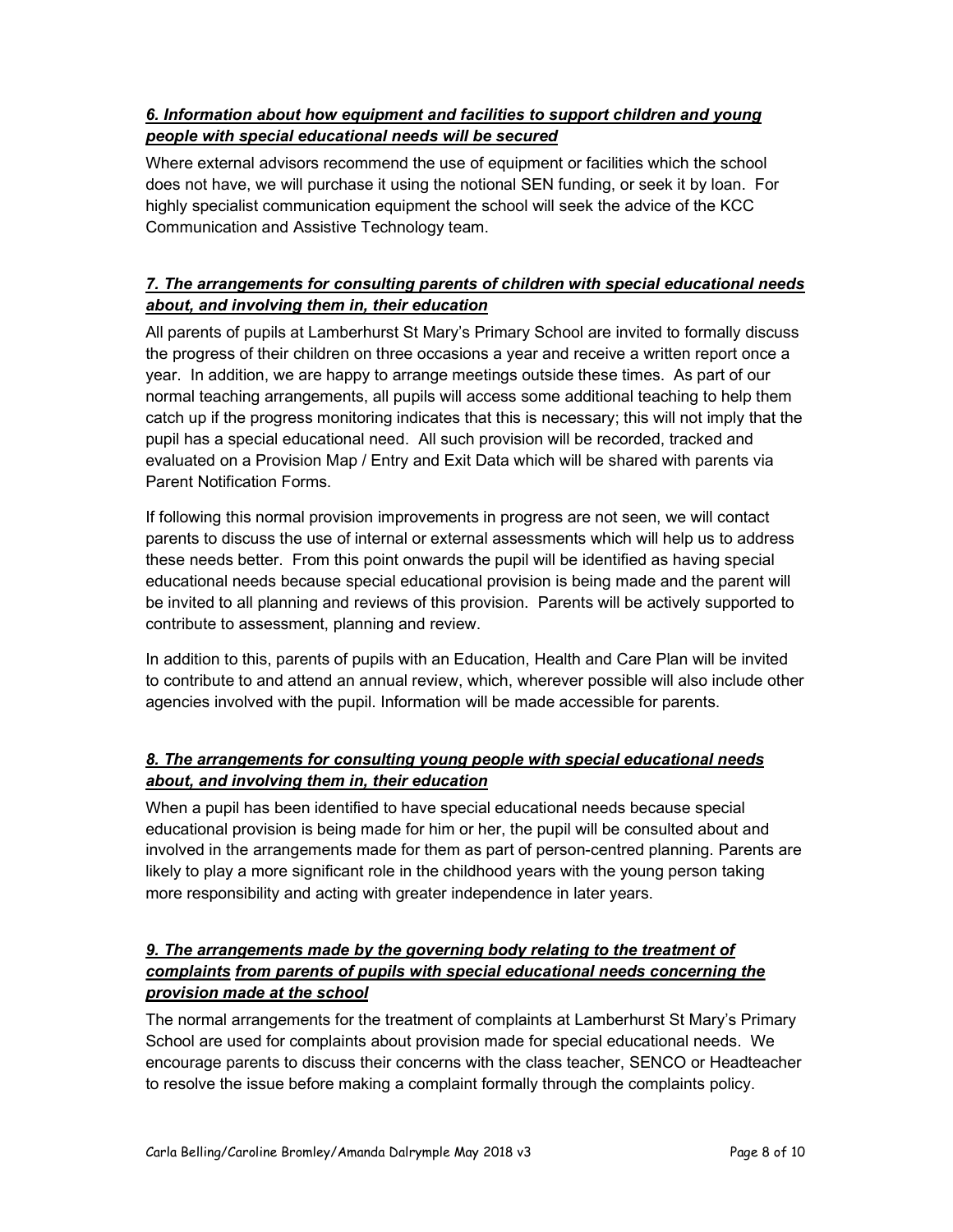#### 6. Information about how equipment and facilities to support children and young people with special educational needs will be secured

Where external advisors recommend the use of equipment or facilities which the school does not have, we will purchase it using the notional SEN funding, or seek it by loan. For highly specialist communication equipment the school will seek the advice of the KCC Communication and Assistive Technology team.

#### 7. The arrangements for consulting parents of children with special educational needs about, and involving them in, their education

All parents of pupils at Lamberhurst St Mary's Primary School are invited to formally discuss the progress of their children on three occasions a year and receive a written report once a year. In addition, we are happy to arrange meetings outside these times. As part of our normal teaching arrangements, all pupils will access some additional teaching to help them catch up if the progress monitoring indicates that this is necessary; this will not imply that the pupil has a special educational need. All such provision will be recorded, tracked and evaluated on a Provision Map / Entry and Exit Data which will be shared with parents via Parent Notification Forms.

If following this normal provision improvements in progress are not seen, we will contact parents to discuss the use of internal or external assessments which will help us to address these needs better. From this point onwards the pupil will be identified as having special educational needs because special educational provision is being made and the parent will be invited to all planning and reviews of this provision. Parents will be actively supported to contribute to assessment, planning and review.

In addition to this, parents of pupils with an Education, Health and Care Plan will be invited to contribute to and attend an annual review, which, wherever possible will also include other agencies involved with the pupil. Information will be made accessible for parents.

#### 8. The arrangements for consulting young people with special educational needs about, and involving them in, their education

When a pupil has been identified to have special educational needs because special educational provision is being made for him or her, the pupil will be consulted about and involved in the arrangements made for them as part of person-centred planning. Parents are likely to play a more significant role in the childhood years with the young person taking more responsibility and acting with greater independence in later years.

#### 9. The arrangements made by the governing body relating to the treatment of complaints from parents of pupils with special educational needs concerning the provision made at the school

The normal arrangements for the treatment of complaints at Lamberhurst St Mary's Primary School are used for complaints about provision made for special educational needs. We encourage parents to discuss their concerns with the class teacher, SENCO or Headteacher to resolve the issue before making a complaint formally through the complaints policy.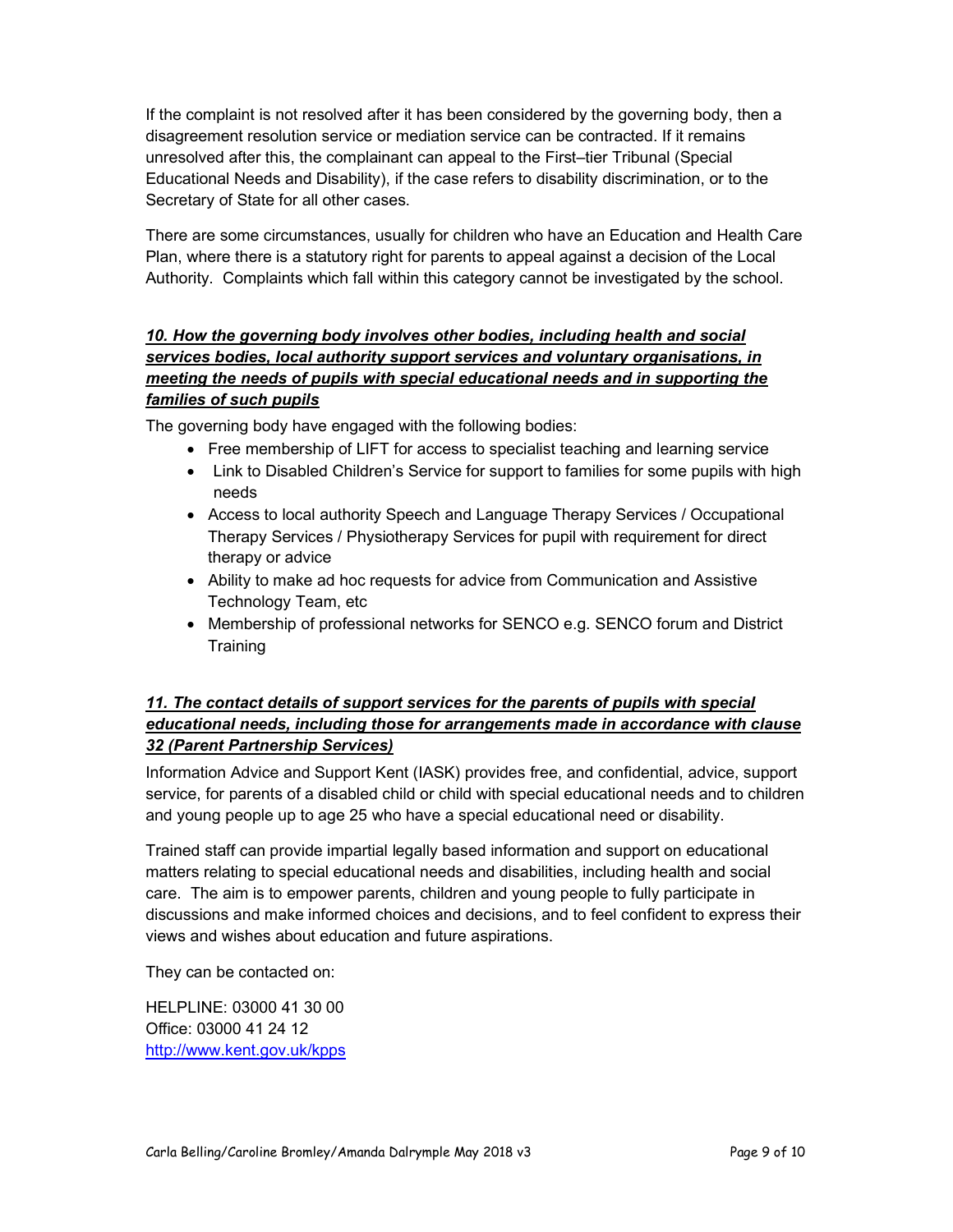If the complaint is not resolved after it has been considered by the governing body, then a disagreement resolution service or mediation service can be contracted. If it remains unresolved after this, the complainant can appeal to the First–tier Tribunal (Special Educational Needs and Disability), if the case refers to disability discrimination, or to the Secretary of State for all other cases.

There are some circumstances, usually for children who have an Education and Health Care Plan, where there is a statutory right for parents to appeal against a decision of the Local Authority. Complaints which fall within this category cannot be investigated by the school.

#### 10. How the governing body involves other bodies, including health and social services bodies, local authority support services and voluntary organisations, in meeting the needs of pupils with special educational needs and in supporting the families of such pupils

The governing body have engaged with the following bodies:

- Free membership of LIFT for access to specialist teaching and learning service
- Link to Disabled Children's Service for support to families for some pupils with high needs
- Access to local authority Speech and Language Therapy Services / Occupational Therapy Services / Physiotherapy Services for pupil with requirement for direct therapy or advice
- Ability to make ad hoc requests for advice from Communication and Assistive Technology Team, etc
- Membership of professional networks for SENCO e.g. SENCO forum and District **Training**

#### 11. The contact details of support services for the parents of pupils with special educational needs, including those for arrangements made in accordance with clause 32 (Parent Partnership Services)

Information Advice and Support Kent (IASK) provides free, and confidential, advice, support service, for parents of a disabled child or child with special educational needs and to children and young people up to age 25 who have a special educational need or disability.

Trained staff can provide impartial legally based information and support on educational matters relating to special educational needs and disabilities, including health and social care. The aim is to empower parents, children and young people to fully participate in discussions and make informed choices and decisions, and to feel confident to express their views and wishes about education and future aspirations.

They can be contacted on:

HELPLINE: 03000 41 30 00 Office: 03000 41 24 12 http://www.kent.gov.uk/kpps